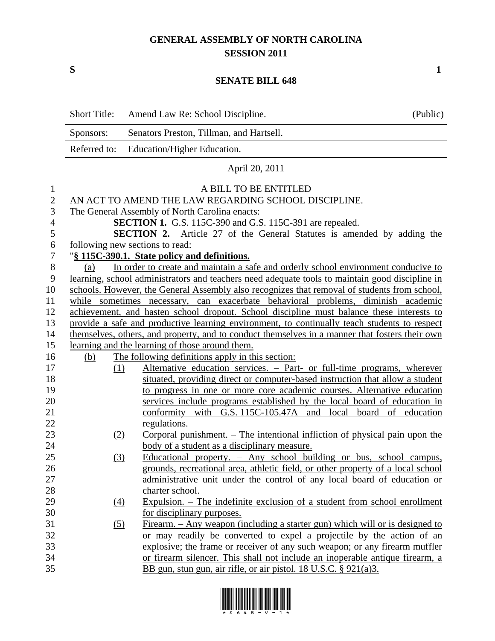## **GENERAL ASSEMBLY OF NORTH CAROLINA SESSION 2011**

**S 1**

## **SENATE BILL 648**

|                | <b>Short Title:</b> | Amend Law Re: School Discipline.                                                                | (Public) |
|----------------|---------------------|-------------------------------------------------------------------------------------------------|----------|
|                | Sponsors:           | Senators Preston, Tillman, and Hartsell.                                                        |          |
|                | Referred to:        | Education/Higher Education.                                                                     |          |
|                |                     | April 20, 2011                                                                                  |          |
| 1              |                     | A BILL TO BE ENTITLED                                                                           |          |
| $\mathbf{2}$   |                     | AN ACT TO AMEND THE LAW REGARDING SCHOOL DISCIPLINE.                                            |          |
| 3              |                     | The General Assembly of North Carolina enacts:                                                  |          |
| $\overline{4}$ |                     | SECTION 1. G.S. 115C-390 and G.S. 115C-391 are repealed.                                        |          |
| 5              |                     | <b>SECTION 2.</b> Article 27 of the General Statutes is amended by adding the                   |          |
| 6              |                     | following new sections to read:                                                                 |          |
| $\tau$         |                     | "§ 115C-390.1. State policy and definitions.                                                    |          |
| $8\phantom{1}$ | (a)                 | In order to create and maintain a safe and orderly school environment conducive to              |          |
| 9              |                     | learning, school administrators and teachers need adequate tools to maintain good discipline in |          |
| 10             |                     | schools. However, the General Assembly also recognizes that removal of students from school,    |          |
| 11             |                     | while sometimes necessary, can exacerbate behavioral problems, diminish academic                |          |
| 12             |                     | achievement, and hasten school dropout. School discipline must balance these interests to       |          |
| 13             |                     | provide a safe and productive learning environment, to continually teach students to respect    |          |
| 14             |                     | themselves, others, and property, and to conduct themselves in a manner that fosters their own  |          |
| 15             |                     | learning and the learning of those around them.                                                 |          |
| 16             | (b)                 | The following definitions apply in this section:                                                |          |
| 17             | (1)                 | Alternative education services. - Part- or full-time programs, wherever                         |          |
| 18             |                     | situated, providing direct or computer-based instruction that allow a student                   |          |
| 19             |                     | to progress in one or more core academic courses. Alternative education                         |          |
| 20             |                     | services include programs established by the local board of education in                        |          |
| 21             |                     | conformity with G.S. 115C-105.47A and local board of education                                  |          |
| 22             |                     | regulations.                                                                                    |          |
| 23             | (2)                 | Corporal punishment. $-$ The intentional infliction of physical pain upon the                   |          |
| 24             |                     | body of a student as a disciplinary measure.                                                    |          |
| 25             | (3)                 | Educational property. - Any school building or bus, school campus,                              |          |
| 26             |                     | grounds, recreational area, athletic field, or other property of a local school                 |          |
| 27             |                     | administrative unit under the control of any local board of education or                        |          |
| 28             |                     | charter school.                                                                                 |          |
| 29             | $\Delta$            | $Expulsion.$ - The indefinite exclusion of a student from school enrollment                     |          |
| 30             |                     | for disciplinary purposes.                                                                      |          |
| 31             | <u>(5)</u>          | Firearm. – Any weapon (including a starter gun) which will or is designed to                    |          |
| 32             |                     | or may readily be converted to expel a projectile by the action of an                           |          |
| 33             |                     | explosive; the frame or receiver of any such weapon; or any firearm muffler                     |          |
| 34             |                     | or firearm silencer. This shall not include an inoperable antique firearm, a                    |          |
| 35             |                     | BB gun, stun gun, air rifle, or air pistol. 18 U.S.C. $\S 921(a)3$ .                            |          |

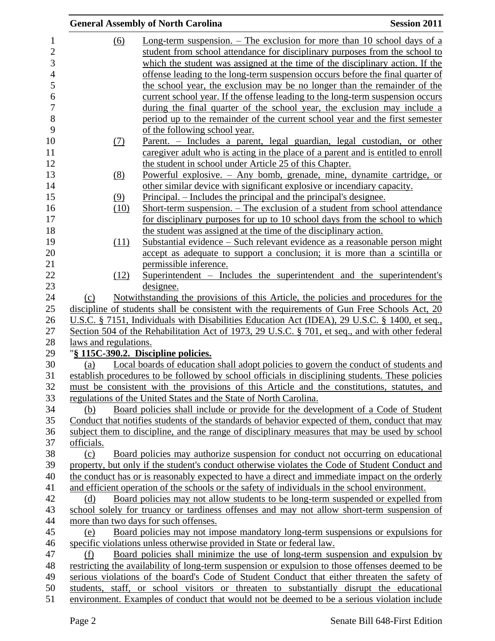|                       | <b>General Assembly of North Carolina</b>                                                                                                                 | <b>Session 2011</b> |
|-----------------------|-----------------------------------------------------------------------------------------------------------------------------------------------------------|---------------------|
| $\underline{(6)}$     | Long-term suspension. $-$ The exclusion for more than 10 school days of a                                                                                 |                     |
|                       | student from school attendance for disciplinary purposes from the school to                                                                               |                     |
|                       | which the student was assigned at the time of the disciplinary action. If the                                                                             |                     |
|                       | offense leading to the long-term suspension occurs before the final quarter of                                                                            |                     |
|                       | the school year, the exclusion may be no longer than the remainder of the                                                                                 |                     |
|                       | current school year. If the offense leading to the long-term suspension occurs                                                                            |                     |
|                       | during the final quarter of the school year, the exclusion may include a                                                                                  |                     |
|                       | period up to the remainder of the current school year and the first semester                                                                              |                     |
|                       |                                                                                                                                                           |                     |
|                       | of the following school year.<br>Parent. – Includes a parent, legal guardian, legal custodian, or other                                                   |                     |
| <u>(7)</u>            |                                                                                                                                                           |                     |
|                       | caregiver adult who is acting in the place of a parent and is entitled to enroll                                                                          |                     |
|                       | the student in school under Article 25 of this Chapter.                                                                                                   |                     |
| (8)                   | Powerful explosive. – Any bomb, grenade, mine, dynamite cartridge, or<br>other similar device with significant explosive or incendiary capacity.          |                     |
|                       | <u>Principal. – Includes the principal and the principal's designee.</u>                                                                                  |                     |
| (9)                   |                                                                                                                                                           |                     |
| (10)                  | Short-term suspension. – The exclusion of a student from school attendance<br>for disciplinary purposes for up to 10 school days from the school to which |                     |
|                       | the student was assigned at the time of the disciplinary action.                                                                                          |                     |
| (11)                  | <u> Substantial evidence – Such relevant evidence as a reasonable person might</u>                                                                        |                     |
|                       | accept as adequate to support a conclusion; it is more than a scintilla or                                                                                |                     |
|                       | permissible inference.                                                                                                                                    |                     |
| (12)                  | Superintendent – Includes the superintendent and the superintendent's                                                                                     |                     |
|                       | designee.                                                                                                                                                 |                     |
| (c)                   | Notwithstanding the provisions of this Article, the policies and procedures for the                                                                       |                     |
|                       | discipline of students shall be consistent with the requirements of Gun Free Schools Act, 20                                                              |                     |
|                       | U.S.C. § 7151, Individuals with Disabilities Education Act (IDEA), 29 U.S.C. § 1400, et seq.,                                                             |                     |
|                       | Section 504 of the Rehabilitation Act of 1973, 29 U.S.C. § 701, et seq., and with other federal                                                           |                     |
| laws and regulations. |                                                                                                                                                           |                     |
|                       | "§ 115C-390.2. Discipline policies.                                                                                                                       |                     |
| (a)                   | Local boards of education shall adopt policies to govern the conduct of students and                                                                      |                     |
|                       | establish procedures to be followed by school officials in disciplining students. These policies                                                          |                     |
|                       | must be consistent with the provisions of this Article and the constitutions, statutes, and                                                               |                     |
|                       | regulations of the United States and the State of North Carolina.                                                                                         |                     |
| (b)                   | Board policies shall include or provide for the development of a Code of Student                                                                          |                     |
|                       | Conduct that notifies students of the standards of behavior expected of them, conduct that may                                                            |                     |
|                       | subject them to discipline, and the range of disciplinary measures that may be used by school                                                             |                     |
| officials.            |                                                                                                                                                           |                     |
| (c)                   | Board policies may authorize suspension for conduct not occurring on educational                                                                          |                     |
|                       | property, but only if the student's conduct otherwise violates the Code of Student Conduct and                                                            |                     |
|                       | the conduct has or is reasonably expected to have a direct and immediate impact on the orderly                                                            |                     |
|                       | and efficient operation of the schools or the safety of individuals in the school environment.                                                            |                     |
| (d)                   | Board policies may not allow students to be long-term suspended or expelled from                                                                          |                     |
|                       | school solely for truancy or tardiness offenses and may not allow short-term suspension of                                                                |                     |
|                       | more than two days for such offenses.                                                                                                                     |                     |
| (e)                   | Board policies may not impose mandatory long-term suspensions or expulsions for                                                                           |                     |
|                       | specific violations unless otherwise provided in State or federal law.                                                                                    |                     |
| (f)                   | Board policies shall minimize the use of long-term suspension and expulsion by                                                                            |                     |
|                       | restricting the availability of long-term suspension or expulsion to those offenses deemed to be                                                          |                     |
|                       | serious violations of the board's Code of Student Conduct that either threaten the safety of                                                              |                     |
|                       | students, staff, or school visitors or threaten to substantially disrupt the educational                                                                  |                     |
|                       | environment. Examples of conduct that would not be deemed to be a serious violation include                                                               |                     |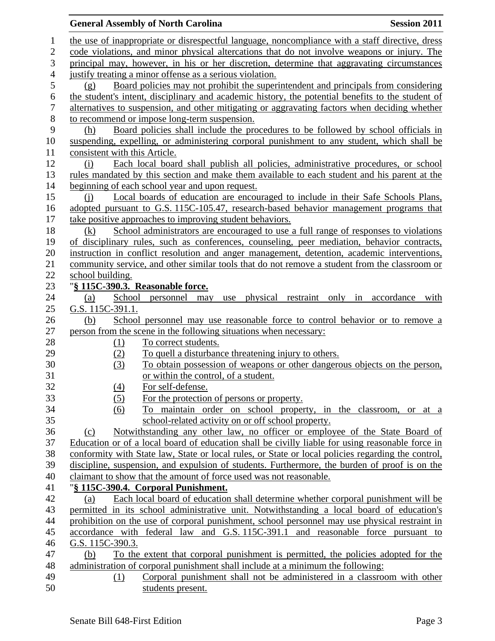| <b>General Assembly of North Carolina</b>                                                                                                                                                           | <b>Session 2011</b> |
|-----------------------------------------------------------------------------------------------------------------------------------------------------------------------------------------------------|---------------------|
| the use of inappropriate or disrespectful language, noncompliance with a staff directive, dress                                                                                                     |                     |
| code violations, and minor physical altercations that do not involve weapons or injury. The                                                                                                         |                     |
| principal may, however, in his or her discretion, determine that aggravating circumstances                                                                                                          |                     |
| justify treating a minor offense as a serious violation.                                                                                                                                            |                     |
| Board policies may not prohibit the superintendent and principals from considering<br>(g)                                                                                                           |                     |
| the student's intent, disciplinary and academic history, the potential benefits to the student of                                                                                                   |                     |
| alternatives to suspension, and other mitigating or aggravating factors when deciding whether                                                                                                       |                     |
| to recommend or impose long-term suspension.                                                                                                                                                        |                     |
| Board policies shall include the procedures to be followed by school officials in<br>(h)                                                                                                            |                     |
| suspending, expelling, or administering corporal punishment to any student, which shall be                                                                                                          |                     |
| consistent with this Article.                                                                                                                                                                       |                     |
| Each local board shall publish all policies, administrative procedures, or school<br>(i)                                                                                                            |                     |
| rules mandated by this section and make them available to each student and his parent at the                                                                                                        |                     |
| beginning of each school year and upon request.                                                                                                                                                     |                     |
| Local boards of education are encouraged to include in their Safe Schools Plans,<br>(i)                                                                                                             |                     |
| adopted pursuant to G.S. 115C-105.47, research-based behavior management programs that                                                                                                              |                     |
| take positive approaches to improving student behaviors.                                                                                                                                            |                     |
| School administrators are encouraged to use a full range of responses to violations<br>(k)                                                                                                          |                     |
| of disciplinary rules, such as conferences, counseling, peer mediation, behavior contracts,                                                                                                         |                     |
| instruction in conflict resolution and anger management, detention, academic interventions,                                                                                                         |                     |
| community service, and other similar tools that do not remove a student from the classroom or                                                                                                       |                     |
| school building.                                                                                                                                                                                    |                     |
| "§ 115C-390.3. Reasonable force.                                                                                                                                                                    |                     |
| School personnel may use physical restraint only in accordance with<br>(a)                                                                                                                          |                     |
| G.S. 115C-391.1.                                                                                                                                                                                    |                     |
| School personnel may use reasonable force to control behavior or to remove a<br>(b)                                                                                                                 |                     |
| person from the scene in the following situations when necessary:                                                                                                                                   |                     |
| To correct students.<br>$\Omega$                                                                                                                                                                    |                     |
| (2)<br>To quell a disturbance threatening injury to others.                                                                                                                                         |                     |
| To obtain possession of weapons or other dangerous objects on the person,<br>(3)                                                                                                                    |                     |
| or within the control, of a student.                                                                                                                                                                |                     |
| For self-defense.<br>(4)                                                                                                                                                                            |                     |
| (5)<br>For the protection of persons or property.                                                                                                                                                   |                     |
| To maintain order on school property, in the classroom, or at a<br>(6)                                                                                                                              |                     |
| school-related activity on or off school property.                                                                                                                                                  |                     |
| Notwithstanding any other law, no officer or employee of the State Board of<br>(c)                                                                                                                  |                     |
| Education or of a local board of education shall be civilly liable for using reasonable force in                                                                                                    |                     |
| conformity with State law, State or local rules, or State or local policies regarding the control,<br>discipline, suspension, and expulsion of students. Furthermore, the burden of proof is on the |                     |
| claimant to show that the amount of force used was not reasonable.                                                                                                                                  |                     |
|                                                                                                                                                                                                     |                     |
| "§ 115C-390.4. Corporal Punishment.<br>Each local board of education shall determine whether corporal punishment will be<br>(a)                                                                     |                     |
| permitted in its school administrative unit. Notwithstanding a local board of education's                                                                                                           |                     |
| prohibition on the use of corporal punishment, school personnel may use physical restraint in                                                                                                       |                     |
| accordance with federal law and G.S. 115C-391.1 and reasonable force pursuant to                                                                                                                    |                     |
| G.S. 115C-390.3.                                                                                                                                                                                    |                     |
| To the extent that corporal punishment is permitted, the policies adopted for the<br>(b)                                                                                                            |                     |
| administration of corporal punishment shall include at a minimum the following:                                                                                                                     |                     |
| Corporal punishment shall not be administered in a classroom with other<br>(1)                                                                                                                      |                     |
| students present.                                                                                                                                                                                   |                     |
|                                                                                                                                                                                                     |                     |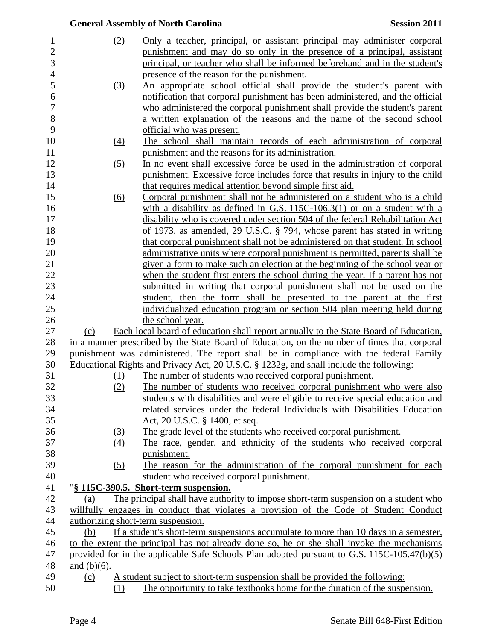|                                |                |            | <b>General Assembly of North Carolina</b>                                                                                                                                                 | <b>Session 2011</b> |
|--------------------------------|----------------|------------|-------------------------------------------------------------------------------------------------------------------------------------------------------------------------------------------|---------------------|
| $\mathbf{1}$<br>$\overline{c}$ |                | (2)        | Only a teacher, principal, or assistant principal may administer corporal<br>punishment and may do so only in the presence of a principal, assistant                                      |                     |
| 3                              |                |            | principal, or teacher who shall be informed beforehand and in the student's                                                                                                               |                     |
| $\overline{4}$                 |                |            | presence of the reason for the punishment.                                                                                                                                                |                     |
| 5                              |                | (3)        | An appropriate school official shall provide the student's parent with                                                                                                                    |                     |
| 6                              |                |            | notification that corporal punishment has been administered, and the official                                                                                                             |                     |
| $\overline{7}$                 |                |            | who administered the corporal punishment shall provide the student's parent                                                                                                               |                     |
| 8<br>9                         |                |            | a written explanation of the reasons and the name of the second school                                                                                                                    |                     |
| 10                             |                |            | official who was present.<br>The school shall maintain records of each administration of corporal                                                                                         |                     |
| 11                             |                | (4)        | punishment and the reasons for its administration.                                                                                                                                        |                     |
| 12                             |                | (5)        | In no event shall excessive force be used in the administration of corporal                                                                                                               |                     |
| 13                             |                |            | punishment. Excessive force includes force that results in injury to the child                                                                                                            |                     |
| 14                             |                |            | that requires medical attention beyond simple first aid.                                                                                                                                  |                     |
| 15                             |                | (6)        | Corporal punishment shall not be administered on a student who is a child                                                                                                                 |                     |
| 16                             |                |            | with a disability as defined in G.S. $115C-106.3(1)$ or on a student with a                                                                                                               |                     |
| 17                             |                |            | disability who is covered under section 504 of the federal Rehabilitation Act                                                                                                             |                     |
| 18                             |                |            | of 1973, as amended, 29 U.S.C. § 794, whose parent has stated in writing                                                                                                                  |                     |
| 19                             |                |            | that corporal punishment shall not be administered on that student. In school                                                                                                             |                     |
| 20                             |                |            | administrative units where corporal punishment is permitted, parents shall be                                                                                                             |                     |
| 21                             |                |            | given a form to make such an election at the beginning of the school year or                                                                                                              |                     |
| 22                             |                |            | when the student first enters the school during the year. If a parent has not                                                                                                             |                     |
| 23                             |                |            | submitted in writing that corporal punishment shall not be used on the                                                                                                                    |                     |
| 24                             |                |            | student, then the form shall be presented to the parent at the first                                                                                                                      |                     |
| 25                             |                |            | individualized education program or section 504 plan meeting held during                                                                                                                  |                     |
| 26                             |                |            | the school year.                                                                                                                                                                          |                     |
| 27                             | (c)            |            | Each local board of education shall report annually to the State Board of Education,                                                                                                      |                     |
| 28                             |                |            | in a manner prescribed by the State Board of Education, on the number of times that corporal                                                                                              |                     |
| 29                             |                |            | punishment was administered. The report shall be in compliance with the federal Family                                                                                                    |                     |
| 30                             |                |            | Educational Rights and Privacy Act, 20 U.S.C. § 1232g, and shall include the following:                                                                                                   |                     |
| 31                             |                | <u>(1)</u> | The number of students who received corporal punishment.                                                                                                                                  |                     |
| 32                             |                | (2)        | The number of students who received corporal punishment who were also                                                                                                                     |                     |
| 33                             |                |            | students with disabilities and were eligible to receive special education and                                                                                                             |                     |
| 34                             |                |            | related services under the federal Individuals with Disabilities Education                                                                                                                |                     |
| 35                             |                |            | <u>Act, 20 U.S.C. § 1400, et seq.</u>                                                                                                                                                     |                     |
| 36                             |                | (3)        | The grade level of the students who received corporal punishment.                                                                                                                         |                     |
| 37                             |                | (4)        | The race, gender, and ethnicity of the students who received corporal                                                                                                                     |                     |
| 38                             |                |            | punishment.                                                                                                                                                                               |                     |
| 39                             |                | (5)        | The reason for the administration of the corporal punishment for each                                                                                                                     |                     |
| 40                             |                |            | student who received corporal punishment.                                                                                                                                                 |                     |
| 41                             |                |            | "§ 115C-390.5. Short-term suspension.                                                                                                                                                     |                     |
| 42                             | (a)            |            | The principal shall have authority to impose short-term suspension on a student who                                                                                                       |                     |
| 43<br>44                       |                |            | willfully engages in conduct that violates a provision of the Code of Student Conduct<br>authorizing short-term suspension.                                                               |                     |
| 45                             |                |            |                                                                                                                                                                                           |                     |
|                                | (b)            |            | If a student's short-term suspensions accumulate to more than 10 days in a semester,                                                                                                      |                     |
| 46<br>47                       |                |            | to the extent the principal has not already done so, he or she shall invoke the mechanisms<br>provided for in the applicable Safe Schools Plan adopted pursuant to G.S. 115C-105.47(b)(5) |                     |
| 48                             | and $(b)(6)$ . |            |                                                                                                                                                                                           |                     |
| 49                             | (c)            |            | A student subject to short-term suspension shall be provided the following:                                                                                                               |                     |
| 50                             |                | (1)        | The opportunity to take textbooks home for the duration of the suspension.                                                                                                                |                     |
|                                |                |            |                                                                                                                                                                                           |                     |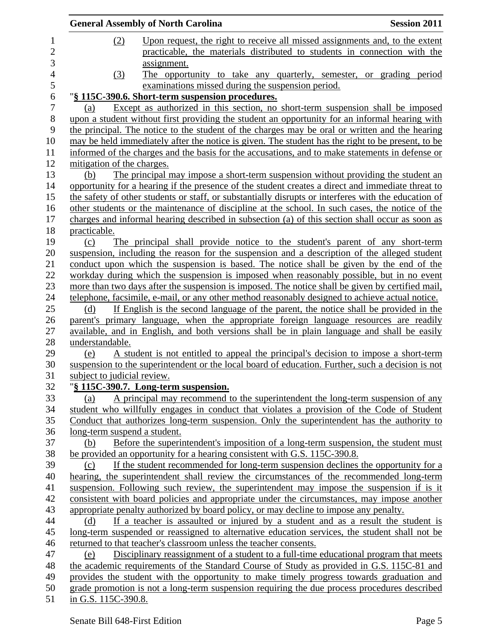|                |                             |     | <b>General Assembly of North Carolina</b>                                                                                                                                             | <b>Session 2011</b> |
|----------------|-----------------------------|-----|---------------------------------------------------------------------------------------------------------------------------------------------------------------------------------------|---------------------|
| 1              |                             | (2) | Upon request, the right to receive all missed assignments and, to the extent                                                                                                          |                     |
| $\overline{c}$ |                             |     | practicable, the materials distributed to students in connection with the                                                                                                             |                     |
| 3              |                             |     | assignment.                                                                                                                                                                           |                     |
| $\overline{4}$ |                             | (3) | The opportunity to take any quarterly, semester, or grading period                                                                                                                    |                     |
| 5              |                             |     | examinations missed during the suspension period.                                                                                                                                     |                     |
| 6              |                             |     | "§ 115C-390.6. Short-term suspension procedures.                                                                                                                                      |                     |
| 7              | (a)                         |     | Except as authorized in this section, no short-term suspension shall be imposed                                                                                                       |                     |
| 8              |                             |     | upon a student without first providing the student an opportunity for an informal hearing with                                                                                        |                     |
| 9              |                             |     | the principal. The notice to the student of the charges may be oral or written and the hearing                                                                                        |                     |
| 10             |                             |     | may be held immediately after the notice is given. The student has the right to be present, to be                                                                                     |                     |
| 11             |                             |     | informed of the charges and the basis for the accusations, and to make statements in defense or                                                                                       |                     |
| 12             | mitigation of the charges.  |     |                                                                                                                                                                                       |                     |
| 13             | (b)                         |     | The principal may impose a short-term suspension without providing the student an                                                                                                     |                     |
| 14             |                             |     | opportunity for a hearing if the presence of the student creates a direct and immediate threat to                                                                                     |                     |
| 15             |                             |     | the safety of other students or staff, or substantially disrupts or interferes with the education of                                                                                  |                     |
| 16             |                             |     | other students or the maintenance of discipline at the school. In such cases, the notice of the                                                                                       |                     |
| 17             |                             |     | charges and informal hearing described in subsection (a) of this section shall occur as soon as                                                                                       |                     |
| 18             | practicable.                |     |                                                                                                                                                                                       |                     |
| 19             | (c)                         |     | The principal shall provide notice to the student's parent of any short-term                                                                                                          |                     |
| 20             |                             |     | suspension, including the reason for the suspension and a description of the alleged student                                                                                          |                     |
| 21             |                             |     | conduct upon which the suspension is based. The notice shall be given by the end of the                                                                                               |                     |
| 22             |                             |     | workday during which the suspension is imposed when reasonably possible, but in no event                                                                                              |                     |
| 23             |                             |     | more than two days after the suspension is imposed. The notice shall be given by certified mail,                                                                                      |                     |
| 24             |                             |     | telephone, facsimile, e-mail, or any other method reasonably designed to achieve actual notice.                                                                                       |                     |
| 25             | (d)                         |     | If English is the second language of the parent, the notice shall be provided in the                                                                                                  |                     |
| 26<br>27       |                             |     | parent's primary language, when the appropriate foreign language resources are readily<br>available, and in English, and both versions shall be in plain language and shall be easily |                     |
| 28             | understandable.             |     |                                                                                                                                                                                       |                     |
| 29             | (e)                         |     | A student is not entitled to appeal the principal's decision to impose a short-term                                                                                                   |                     |
| 30             |                             |     | suspension to the superintendent or the local board of education. Further, such a decision is not                                                                                     |                     |
| 31             | subject to judicial review. |     |                                                                                                                                                                                       |                     |
| 32             |                             |     | "§ 115C-390.7. Long-term suspension.                                                                                                                                                  |                     |
| 33             | (a)                         |     | A principal may recommend to the superintendent the long-term suspension of any                                                                                                       |                     |
| 34             |                             |     | student who willfully engages in conduct that violates a provision of the Code of Student                                                                                             |                     |
| 35             |                             |     | Conduct that authorizes long-term suspension. Only the superintendent has the authority to                                                                                            |                     |
| 36<br>37       |                             |     | long-term suspend a student.                                                                                                                                                          |                     |
| 38             | (b)                         |     | Before the superintendent's imposition of a long-term suspension, the student must<br>be provided an opportunity for a hearing consistent with G.S. 115C-390.8.                       |                     |
| 39             |                             |     | If the student recommended for long-term suspension declines the opportunity for a                                                                                                    |                     |
| 40             | (c)                         |     | hearing, the superintendent shall review the circumstances of the recommended long-term                                                                                               |                     |
| 41             |                             |     | suspension. Following such review, the superintendent may impose the suspension if is it                                                                                              |                     |
| 42             |                             |     | consistent with board policies and appropriate under the circumstances, may impose another                                                                                            |                     |
| 43             |                             |     | appropriate penalty authorized by board policy, or may decline to impose any penalty.                                                                                                 |                     |
| 44             | (d)                         |     | If a teacher is assaulted or injured by a student and as a result the student is                                                                                                      |                     |
| 45             |                             |     | long-term suspended or reassigned to alternative education services, the student shall not be                                                                                         |                     |
| 46             |                             |     | returned to that teacher's classroom unless the teacher consents.                                                                                                                     |                     |
| 47             | (e)                         |     | Disciplinary reassignment of a student to a full-time educational program that meets                                                                                                  |                     |
| 48             |                             |     | the academic requirements of the Standard Course of Study as provided in G.S. 115C-81 and                                                                                             |                     |
| 49             |                             |     | provides the student with the opportunity to make timely progress towards graduation and                                                                                              |                     |
| 50             |                             |     | grade promotion is not a long-term suspension requiring the due process procedures described                                                                                          |                     |
| 51             | in G.S. 115C-390.8.         |     |                                                                                                                                                                                       |                     |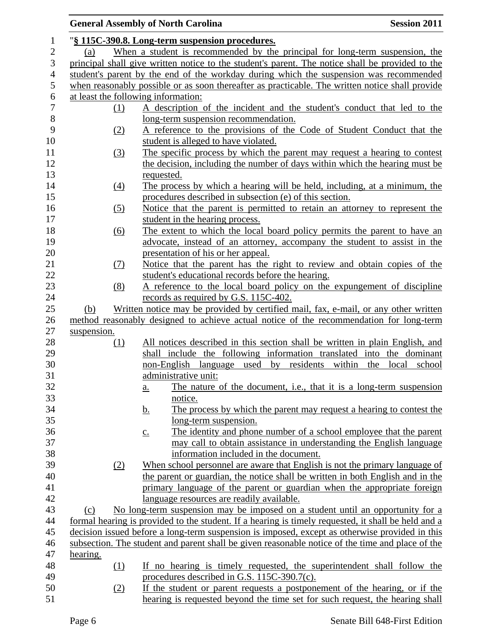## **General Assembly of North Carolina Session 2011**  "**§ 115C-390.8. Long-term suspension procedures.** (a) When a student is recommended by the principal for long-term suspension, the principal shall give written notice to the student's parent. The notice shall be provided to the student's parent by the end of the workday during which the suspension was recommended when reasonably possible or as soon thereafter as practicable. The written notice shall provide at least the following information: (1) A description of the incident and the student's conduct that led to the long-term suspension recommendation. (2) A reference to the provisions of the Code of Student Conduct that the student is alleged to have violated. (3) The specific process by which the parent may request a hearing to contest the decision, including the number of days within which the hearing must be requested. (4) The process by which a hearing will be held, including, at a minimum, the procedures described in subsection (e) of this section. (5) Notice that the parent is permitted to retain an attorney to represent the 17 student in the hearing process. 18 (6) The extent to which the local board policy permits the parent to have an advocate, instead of an attorney, accompany the student to assist in the presentation of his or her appeal. (7) Notice that the parent has the right to review and obtain copies of the student's educational records before the hearing. (8) A reference to the local board policy on the expungement of discipline records as required by G.S. 115C-402. (b) Written notice may be provided by certified mail, fax, e-mail, or any other written method reasonably designed to achieve actual notice of the recommendation for long-term suspension. (1) All notices described in this section shall be written in plain English, and shall include the following information translated into the dominant non-English language used by residents within the local school administrative unit: a. The nature of the document, i.e., that it is a long-term suspension notice. 34 b. The process by which the parent may request a hearing to contest the long-term suspension. c. The identity and phone number of a school employee that the parent may call to obtain assistance in understanding the English language information included in the document. (2) When school personnel are aware that English is not the primary language of the parent or guardian, the notice shall be written in both English and in the primary language of the parent or guardian when the appropriate foreign language resources are readily available. (c) No long-term suspension may be imposed on a student until an opportunity for a formal hearing is provided to the student. If a hearing is timely requested, it shall be held and a decision issued before a long-term suspension is imposed, except as otherwise provided in this subsection. The student and parent shall be given reasonable notice of the time and place of the hearing. (1) If no hearing is timely requested, the superintendent shall follow the procedures described in G.S. 115C-390.7(c). (2) If the student or parent requests a postponement of the hearing, or if the hearing is requested beyond the time set for such request, the hearing shall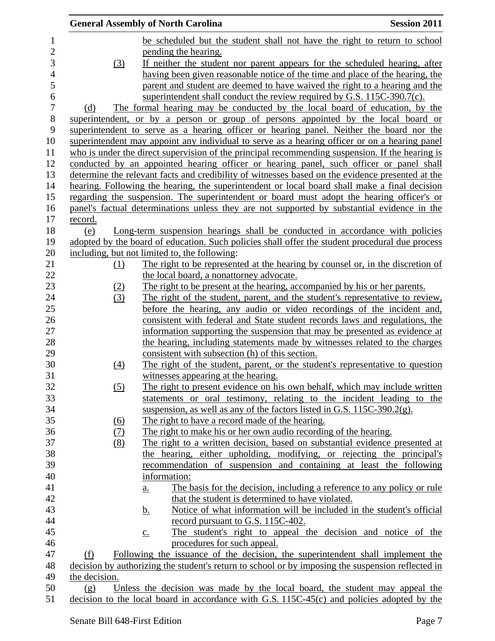|                  |               |            | <b>General Assembly of North Carolina</b>                                                                                                               | <b>Session 2011</b> |
|------------------|---------------|------------|---------------------------------------------------------------------------------------------------------------------------------------------------------|---------------------|
| $\mathbf{1}$     |               |            | be scheduled but the student shall not have the right to return to school                                                                               |                     |
| $\overline{c}$   |               |            | pending the hearing.                                                                                                                                    |                     |
| 3                |               | (3)        | If neither the student nor parent appears for the scheduled hearing, after                                                                              |                     |
| 4                |               |            | having been given reasonable notice of the time and place of the hearing, the                                                                           |                     |
| 5                |               |            | parent and student are deemed to have waived the right to a hearing and the                                                                             |                     |
| 6                |               |            | superintendent shall conduct the review required by G.S. 115C-390.7(c).                                                                                 |                     |
| $\boldsymbol{7}$ | (d)           |            | The formal hearing may be conducted by the local board of education, by the                                                                             |                     |
| 8                |               |            | superintendent, or by a person or group of persons appointed by the local board or                                                                      |                     |
| 9                |               |            | superintendent to serve as a hearing officer or hearing panel. Neither the board nor the                                                                |                     |
| 10               |               |            | superintendent may appoint any individual to serve as a hearing officer or on a hearing panel                                                           |                     |
| 11               |               |            | who is under the direct supervision of the principal recommending suspension. If the hearing is                                                         |                     |
| 12               |               |            | conducted by an appointed hearing officer or hearing panel, such officer or panel shall                                                                 |                     |
| 13               |               |            | determine the relevant facts and credibility of witnesses based on the evidence presented at the                                                        |                     |
| 14               |               |            | hearing. Following the hearing, the superintendent or local board shall make a final decision                                                           |                     |
| 15               |               |            | regarding the suspension. The superintendent or board must adopt the hearing officer's or                                                               |                     |
| 16               |               |            | panel's factual determinations unless they are not supported by substantial evidence in the                                                             |                     |
| 17               | record.       |            |                                                                                                                                                         |                     |
| 18               | (e)           |            | Long-term suspension hearings shall be conducted in accordance with policies                                                                            |                     |
| 19               |               |            | adopted by the board of education. Such policies shall offer the student procedural due process                                                         |                     |
| 20               |               |            | including, but not limited to, the following:                                                                                                           |                     |
| 21               |               | (1)        | The right to be represented at the hearing by counsel or, in the discretion of                                                                          |                     |
| 22               |               |            | the local board, a nonattorney advocate.                                                                                                                |                     |
| 23               |               | (2)        | The right to be present at the hearing, accompanied by his or her parents.                                                                              |                     |
| 24<br>25         |               | (3)        | The right of the student, parent, and the student's representative to review,<br>before the hearing, any audio or video recordings of the incident and, |                     |
| 26               |               |            | consistent with federal and State student records laws and regulations, the                                                                             |                     |
| $27\,$           |               |            | information supporting the suspension that may be presented as evidence at                                                                              |                     |
| 28               |               |            | the hearing, including statements made by witnesses related to the charges                                                                              |                     |
| 29               |               |            | consistent with subsection (h) of this section.                                                                                                         |                     |
| 30               |               | (4)        | The right of the student, parent, or the student's representative to question                                                                           |                     |
| 31               |               |            | witnesses appearing at the hearing.                                                                                                                     |                     |
| 32               |               | (5)        | The right to present evidence on his own behalf, which may include written                                                                              |                     |
| 33               |               |            | statements or oral testimony, relating to the incident leading to the                                                                                   |                     |
| 34               |               |            | suspension, as well as any of the factors listed in G.S. $115C-390.2(g)$ .                                                                              |                     |
| 35               |               | <u>(6)</u> | The right to have a record made of the hearing.                                                                                                         |                     |
| 36               |               | (7)        | The right to make his or her own audio recording of the hearing.                                                                                        |                     |
| 37               |               | (8)        | The right to a written decision, based on substantial evidence presented at                                                                             |                     |
| 38               |               |            | the hearing, either upholding, modifying, or rejecting the principal's                                                                                  |                     |
| 39               |               |            | recommendation of suspension and containing at least the following                                                                                      |                     |
| 40               |               |            | information:                                                                                                                                            |                     |
| 41               |               |            | The basis for the decision, including a reference to any policy or rule<br>$\underline{a}$ .                                                            |                     |
| 42               |               |            | that the student is determined to have violated.                                                                                                        |                     |
| 43               |               |            | Notice of what information will be included in the student's official<br><u>b.</u>                                                                      |                     |
| 44               |               |            | record pursuant to G.S. 115C-402.                                                                                                                       |                     |
| 45               |               |            | The student's right to appeal the decision and notice of the<br>$\underline{c}$ .                                                                       |                     |
| 46               |               |            | procedures for such appeal.                                                                                                                             |                     |
| 47               | (f)           |            | Following the issuance of the decision, the superintendent shall implement the                                                                          |                     |
| 48               |               |            | decision by authorizing the student's return to school or by imposing the suspension reflected in                                                       |                     |
| 49               | the decision. |            |                                                                                                                                                         |                     |
| 50               | (g)           |            | Unless the decision was made by the local board, the student may appeal the                                                                             |                     |
| 51               |               |            | decision to the local board in accordance with G.S. 115C-45(c) and policies adopted by the                                                              |                     |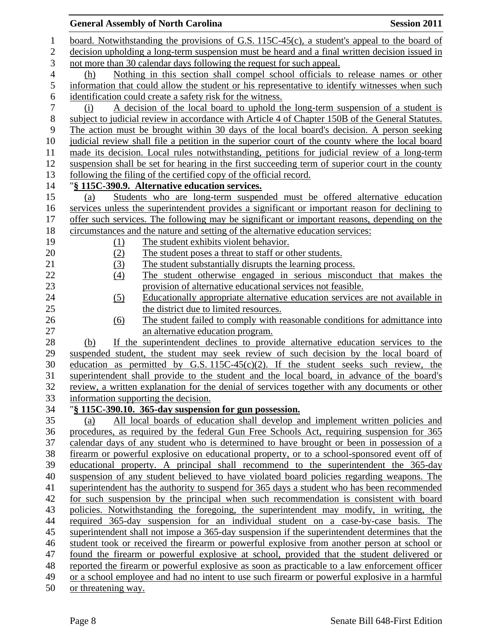|                |                     | <b>General Assembly of North Carolina</b>                                                                                                                                              | <b>Session 2011</b> |
|----------------|---------------------|----------------------------------------------------------------------------------------------------------------------------------------------------------------------------------------|---------------------|
| $\mathbf{1}$   |                     | board. Notwithstanding the provisions of G.S. 115C-45(c), a student's appeal to the board of                                                                                           |                     |
| $\overline{c}$ |                     | decision upholding a long-term suspension must be heard and a final written decision issued in                                                                                         |                     |
| 3              |                     | not more than 30 calendar days following the request for such appeal.                                                                                                                  |                     |
| $\overline{4}$ | (h)                 | Nothing in this section shall compel school officials to release names or other                                                                                                        |                     |
| 5              |                     | information that could allow the student or his representative to identify witnesses when such                                                                                         |                     |
| 6              |                     | identification could create a safety risk for the witness.                                                                                                                             |                     |
| 7              | (i)                 | A decision of the local board to uphold the long-term suspension of a student is                                                                                                       |                     |
| $8\,$          |                     | subject to judicial review in accordance with Article 4 of Chapter 150B of the General Statutes.                                                                                       |                     |
| 9              |                     | The action must be brought within 30 days of the local board's decision. A person seeking                                                                                              |                     |
| 10             |                     | judicial review shall file a petition in the superior court of the county where the local board                                                                                        |                     |
| 11             |                     | made its decision. Local rules notwithstanding, petitions for judicial review of a long-term                                                                                           |                     |
| 12             |                     | suspension shall be set for hearing in the first succeeding term of superior court in the county                                                                                       |                     |
| 13             |                     | following the filing of the certified copy of the official record.                                                                                                                     |                     |
| 14             |                     | "§ 115C-390.9. Alternative education services.                                                                                                                                         |                     |
| 15             | (a)                 | Students who are long-term suspended must be offered alternative education                                                                                                             |                     |
| 16             |                     | services unless the superintendent provides a significant or important reason for declining to                                                                                         |                     |
| 17             |                     | offer such services. The following may be significant or important reasons, depending on the                                                                                           |                     |
| 18             |                     | circumstances and the nature and setting of the alternative education services:                                                                                                        |                     |
| 19<br>20       | (1)                 | The student exhibits violent behavior.<br>The student poses a threat to staff or other students.                                                                                       |                     |
| 21             | (2)<br>(3)          | The student substantially disrupts the learning process.                                                                                                                               |                     |
| 22             | (4)                 | The student otherwise engaged in serious misconduct that makes the                                                                                                                     |                     |
| 23             |                     | provision of alternative educational services not feasible.                                                                                                                            |                     |
| 24             | (5)                 | Educationally appropriate alternative education services are not available in                                                                                                          |                     |
| 25             |                     | the district due to limited resources.                                                                                                                                                 |                     |
| 26             | (6)                 | The student failed to comply with reasonable conditions for admittance into                                                                                                            |                     |
| 27             |                     | an alternative education program.                                                                                                                                                      |                     |
| 28             | (b)                 | If the superintendent declines to provide alternative education services to the                                                                                                        |                     |
| 29             |                     | suspended student, the student may seek review of such decision by the local board of                                                                                                  |                     |
| 30             |                     | education as permitted by G.S. $115C-45(c)(2)$ . If the student seeks such review, the                                                                                                 |                     |
| 31             |                     | superintendent shall provide to the student and the local board, in advance of the board's                                                                                             |                     |
| 32             |                     | review, a written explanation for the denial of services together with any documents or other                                                                                          |                     |
| 33             |                     | information supporting the decision.                                                                                                                                                   |                     |
| 34             |                     | "§ 115C-390.10. 365-day suspension for gun possession.                                                                                                                                 |                     |
| 35             | (a)                 | All local boards of education shall develop and implement written policies and                                                                                                         |                     |
| 36<br>37       |                     | procedures, as required by the federal Gun Free Schools Act, requiring suspension for 365<br>calendar days of any student who is determined to have brought or been in possession of a |                     |
| 38             |                     | firearm or powerful explosive on educational property, or to a school-sponsored event off of                                                                                           |                     |
| 39             |                     | educational property. A principal shall recommend to the superintendent the 365-day                                                                                                    |                     |
| 40             |                     | suspension of any student believed to have violated board policies regarding weapons. The                                                                                              |                     |
| 41             |                     | superintendent has the authority to suspend for 365 days a student who has been recommended                                                                                            |                     |
| 42             |                     | for such suspension by the principal when such recommendation is consistent with board                                                                                                 |                     |
| 43             |                     | policies. Notwithstanding the foregoing, the superintendent may modify, in writing, the                                                                                                |                     |
| 44             |                     | required 365-day suspension for an individual student on a case-by-case basis. The                                                                                                     |                     |
| 45             |                     | superintendent shall not impose a 365-day suspension if the superintendent determines that the                                                                                         |                     |
| 46             |                     | student took or received the firearm or powerful explosive from another person at school or                                                                                            |                     |
| 47             |                     | found the firearm or powerful explosive at school, provided that the student delivered or                                                                                              |                     |
| 48             |                     | reported the firearm or powerful explosive as soon as practicable to a law enforcement officer                                                                                         |                     |
| 49             |                     | or a school employee and had no intent to use such firearm or powerful explosive in a harmful                                                                                          |                     |
| 50             | or threatening way. |                                                                                                                                                                                        |                     |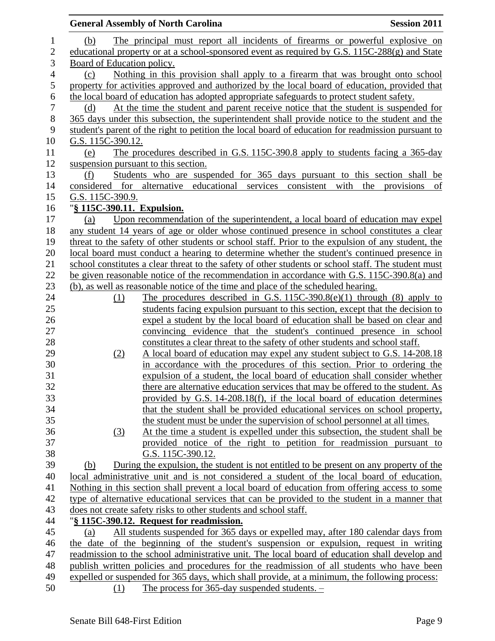|                |                            | <b>General Assembly of North Carolina</b>                                                                                                          | <b>Session 2011</b> |
|----------------|----------------------------|----------------------------------------------------------------------------------------------------------------------------------------------------|---------------------|
| $\mathbf 1$    | (b)                        | The principal must report all incidents of firearms or powerful explosive on                                                                       |                     |
| $\overline{2}$ |                            | educational property or at a school-sponsored event as required by G.S. 115C-288(g) and State                                                      |                     |
| 3              | Board of Education policy. |                                                                                                                                                    |                     |
| $\overline{4}$ | (c)                        | Nothing in this provision shall apply to a firearm that was brought onto school                                                                    |                     |
| 5              |                            | property for activities approved and authorized by the local board of education, provided that                                                     |                     |
| 6              |                            | the local board of education has adopted appropriate safeguards to protect student safety.                                                         |                     |
| $\tau$         | (d)                        | At the time the student and parent receive notice that the student is suspended for                                                                |                     |
| 8              |                            | 365 days under this subsection, the superintendent shall provide notice to the student and the                                                     |                     |
| 9              |                            | student's parent of the right to petition the local board of education for readmission pursuant to                                                 |                     |
| $10\,$         | G.S. 115C-390.12.          |                                                                                                                                                    |                     |
| 11             | (e)                        | The procedures described in G.S. 115C-390.8 apply to students facing a 365-day                                                                     |                     |
| 12             |                            | suspension pursuant to this section.                                                                                                               |                     |
| 13             | (f)                        | Students who are suspended for 365 days pursuant to this section shall be                                                                          |                     |
| 14             |                            | considered for alternative educational services consistent with<br>the                                                                             | provisions<br>of    |
| 15             | G.S. 115C-390.9.           |                                                                                                                                                    |                     |
| 16             | "§ 115C-390.11. Expulsion. |                                                                                                                                                    |                     |
| 17             | (a)                        | Upon recommendation of the superintendent, a local board of education may expel                                                                    |                     |
| 18             |                            | any student 14 years of age or older whose continued presence in school constitutes a clear                                                        |                     |
| 19             |                            | threat to the safety of other students or school staff. Prior to the expulsion of any student, the                                                 |                     |
| 20             |                            | local board must conduct a hearing to determine whether the student's continued presence in                                                        |                     |
| 21             |                            | school constitutes a clear threat to the safety of other students or school staff. The student must                                                |                     |
| 22             |                            | be given reasonable notice of the recommendation in accordance with G.S. 115C-390.8(a) and                                                         |                     |
| 23             |                            | (b), as well as reasonable notice of the time and place of the scheduled hearing.                                                                  |                     |
| 24             | $\Omega$                   | The procedures described in G.S. $115C-390.8(e)(1)$ through (8) apply to                                                                           |                     |
| 25             |                            | students facing expulsion pursuant to this section, except that the decision to                                                                    |                     |
| 26<br>27       |                            | expel a student by the local board of education shall be based on clear and<br>convincing evidence that the student's continued presence in school |                     |
| 28             |                            | constitutes a clear threat to the safety of other students and school staff.                                                                       |                     |
| 29             | (2)                        | A local board of education may expel any student subject to G.S. 14-208.18                                                                         |                     |
| 30             |                            | in accordance with the procedures of this section. Prior to ordering the                                                                           |                     |
| 31             |                            | expulsion of a student, the local board of education shall consider whether                                                                        |                     |
| 32             |                            | there are alternative education services that may be offered to the student. As                                                                    |                     |
| 33             |                            | provided by G.S. 14-208.18(f), if the local board of education determines                                                                          |                     |
| 34             |                            | that the student shall be provided educational services on school property,                                                                        |                     |
| 35             |                            | the student must be under the supervision of school personnel at all times.                                                                        |                     |
| 36             | (3)                        | At the time a student is expelled under this subsection, the student shall be                                                                      |                     |
| 37             |                            | provided notice of the right to petition for readmission pursuant to                                                                               |                     |
| 38             |                            | G.S. 115C-390.12.                                                                                                                                  |                     |
| 39             | (b)                        | During the expulsion, the student is not entitled to be present on any property of the                                                             |                     |
| 40             |                            | local administrative unit and is not considered a student of the local board of education.                                                         |                     |
| 41             |                            | Nothing in this section shall prevent a local board of education from offering access to some                                                      |                     |
| 42             |                            | type of alternative educational services that can be provided to the student in a manner that                                                      |                     |
| 43             |                            | does not create safety risks to other students and school staff.                                                                                   |                     |
| 44             |                            | "§ 115C-390.12. Request for readmission.                                                                                                           |                     |
| 45             | (a)                        | All students suspended for 365 days or expelled may, after 180 calendar days from                                                                  |                     |
| 46             |                            | the date of the beginning of the student's suspension or expulsion, request in writing                                                             |                     |
| 47             |                            | readmission to the school administrative unit. The local board of education shall develop and                                                      |                     |
| 48             |                            | publish written policies and procedures for the readmission of all students who have been                                                          |                     |
| 49             |                            | expelled or suspended for 365 days, which shall provide, at a minimum, the following process:                                                      |                     |
| 50             | (1)                        | The process for $365$ -day suspended students. $-$                                                                                                 |                     |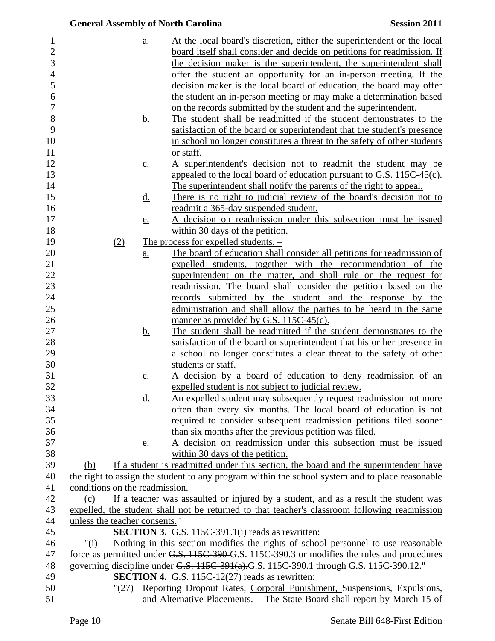| <b>General Assembly of North Carolina</b> |                                                                                                                                                                                  | <b>Session 2011</b> |
|-------------------------------------------|----------------------------------------------------------------------------------------------------------------------------------------------------------------------------------|---------------------|
| a.                                        | At the local board's discretion, either the superintendent or the local                                                                                                          |                     |
|                                           | board itself shall consider and decide on petitions for readmission. If                                                                                                          |                     |
|                                           | the decision maker is the superintendent, the superintendent shall                                                                                                               |                     |
|                                           | offer the student an opportunity for an in-person meeting. If the                                                                                                                |                     |
|                                           | decision maker is the local board of education, the board may offer                                                                                                              |                     |
|                                           | the student an in-person meeting or may make a determination based                                                                                                               |                     |
|                                           | on the records submitted by the student and the superintendent.                                                                                                                  |                     |
| <u>b.</u>                                 | The student shall be readmitted if the student demonstrates to the                                                                                                               |                     |
|                                           | satisfaction of the board or superintendent that the student's presence                                                                                                          |                     |
|                                           | in school no longer constitutes a threat to the safety of other students                                                                                                         |                     |
|                                           | or staff.                                                                                                                                                                        |                     |
| $\underline{c}$ .                         | A superintendent's decision not to readmit the student may be                                                                                                                    |                     |
|                                           | appealed to the local board of education pursuant to G.S. 115C-45(c).                                                                                                            |                     |
|                                           | The superintendent shall notify the parents of the right to appeal.                                                                                                              |                     |
| <u>d.</u>                                 | There is no right to judicial review of the board's decision not to<br>readmit a 365-day suspended student.                                                                      |                     |
| <u>e.</u>                                 | A decision on readmission under this subsection must be issued                                                                                                                   |                     |
|                                           | within 30 days of the petition.                                                                                                                                                  |                     |
| (2)                                       | The process for expelled students. $-$                                                                                                                                           |                     |
| <u>a.</u>                                 | The board of education shall consider all petitions for readmission of                                                                                                           |                     |
|                                           | expelled students, together with the recommendation of the                                                                                                                       |                     |
|                                           | superintendent on the matter, and shall rule on the request for                                                                                                                  |                     |
|                                           | readmission. The board shall consider the petition based on the                                                                                                                  |                     |
|                                           | records submitted by the student and the response by the                                                                                                                         |                     |
|                                           | administration and shall allow the parties to be heard in the same                                                                                                               |                     |
|                                           | manner as provided by G.S. 115C-45(c).                                                                                                                                           |                     |
| <u>b.</u>                                 | The student shall be readmitted if the student demonstrates to the                                                                                                               |                     |
|                                           | satisfaction of the board or superintendent that his or her presence in                                                                                                          |                     |
|                                           | a school no longer constitutes a clear threat to the safety of other                                                                                                             |                     |
|                                           | students or staff.                                                                                                                                                               |                     |
| $\underline{c}$ .                         | A decision by a board of education to deny readmission of an<br>expelled student is not subject to judicial review.                                                              |                     |
| <u>d.</u>                                 | An expelled student may subsequently request readmission not more                                                                                                                |                     |
|                                           | often than every six months. The local board of education is not                                                                                                                 |                     |
|                                           | required to consider subsequent readmission petitions filed sooner                                                                                                               |                     |
|                                           | than six months after the previous petition was filed.                                                                                                                           |                     |
| e.                                        | A decision on readmission under this subsection must be issued                                                                                                                   |                     |
|                                           | within 30 days of the petition.                                                                                                                                                  |                     |
| (b)                                       | If a student is readmitted under this section, the board and the superintendent have                                                                                             |                     |
|                                           | the right to assign the student to any program within the school system and to place reasonable                                                                                  |                     |
| conditions on the readmission.            |                                                                                                                                                                                  |                     |
| (c)                                       | If a teacher was assaulted or injured by a student, and as a result the student was                                                                                              |                     |
|                                           | expelled, the student shall not be returned to that teacher's classroom following readmission                                                                                    |                     |
| unless the teacher consents."             |                                                                                                                                                                                  |                     |
|                                           | <b>SECTION 3.</b> G.S. 115C-391.1(i) reads as rewritten:                                                                                                                         |                     |
| " $(i)$                                   | Nothing in this section modifies the rights of school personnel to use reasonable<br>force as permitted under G.S. 115C-390-G.S. 115C-390.3 or modifies the rules and procedures |                     |
|                                           | governing discipline under G.S. 115C-391(a).G.S. 115C-390.1 through G.S. 115C-390.12."                                                                                           |                     |
|                                           | <b>SECTION 4.</b> G.S. 115C-12(27) reads as rewritten:                                                                                                                           |                     |
|                                           | "(27) Reporting Dropout Rates, Corporal Punishment, Suspensions, Expulsions,                                                                                                     |                     |
|                                           | and Alternative Placements. – The State Board shall report by March 15 of                                                                                                        |                     |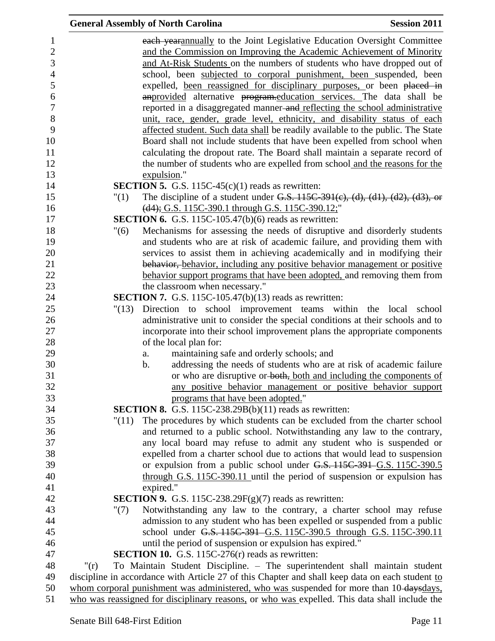|                                   | <b>General Assembly of North Carolina</b>                                                                                                                                                                                   | <b>Session 2011</b> |
|-----------------------------------|-----------------------------------------------------------------------------------------------------------------------------------------------------------------------------------------------------------------------------|---------------------|
| $\mathbf{1}$<br>$\mathbf{2}$<br>3 | each yearannually to the Joint Legislative Education Oversight Committee<br>and the Commission on Improving the Academic Achievement of Minority<br>and At-Risk Students on the numbers of students who have dropped out of |                     |
| $\overline{4}$<br>5               | school, been subjected to corporal punishment, been suspended, been<br>expelled, been reassigned for disciplinary purposes, or been placed in                                                                               |                     |
| 6<br>$\overline{7}$               | anprovided alternative program.education services. The data shall be<br>reported in a disaggregated manner-and reflecting the school administrative                                                                         |                     |
| $8\,$<br>9                        | unit, race, gender, grade level, ethnicity, and disability status of each<br>affected student. Such data shall be readily available to the public. The State                                                                |                     |
| 10                                | Board shall not include students that have been expelled from school when                                                                                                                                                   |                     |
| 11<br>12                          | calculating the dropout rate. The Board shall maintain a separate record of<br>the number of students who are expelled from school and the reasons for the                                                                  |                     |
| 13                                | expulsion."                                                                                                                                                                                                                 |                     |
| 14                                | <b>SECTION 5.</b> G.S. 115C-45 $(c)(1)$ reads as rewritten:                                                                                                                                                                 |                     |
| 15<br>16                          | The discipline of a student under G.S. $115C-391(c)$ , (d), (d1), (d2), (d3), or<br>"(1)<br>(d4); G.S. 115C-390.1 through G.S. 115C-390.12;"                                                                                |                     |
| 17                                | <b>SECTION 6.</b> G.S. 115C-105.47(b)(6) reads as rewritten:                                                                                                                                                                |                     |
| 18                                | Mechanisms for assessing the needs of disruptive and disorderly students<br>"(6)                                                                                                                                            |                     |
| 19                                | and students who are at risk of academic failure, and providing them with                                                                                                                                                   |                     |
| 20<br>21                          | services to assist them in achieving academically and in modifying their<br>behavior, behavior, including any positive behavior management or positive                                                                      |                     |
| 22                                | behavior support programs that have been adopted, and removing them from                                                                                                                                                    |                     |
| 23                                | the classroom when necessary."                                                                                                                                                                                              |                     |
| 24                                | <b>SECTION 7.</b> G.S. 115C-105.47(b)(13) reads as rewritten:                                                                                                                                                               |                     |
| 25                                | Direction to school improvement teams within the local school<br>"(13)                                                                                                                                                      |                     |
| 26                                | administrative unit to consider the special conditions at their schools and to                                                                                                                                              |                     |
| 27                                | incorporate into their school improvement plans the appropriate components                                                                                                                                                  |                     |
| 28                                | of the local plan for:                                                                                                                                                                                                      |                     |
| 29                                | maintaining safe and orderly schools; and<br>a.                                                                                                                                                                             |                     |
| 30                                | addressing the needs of students who are at risk of academic failure<br>b.                                                                                                                                                  |                     |
| 31<br>32                          | or who are disruptive or both, both and including the components of<br>any positive behavior management or positive behavior support                                                                                        |                     |
| 33                                | programs that have been adopted."                                                                                                                                                                                           |                     |
| 34                                | <b>SECTION 8.</b> G.S. 115C-238.29B(b)(11) reads as rewritten:                                                                                                                                                              |                     |
| 35                                | The procedures by which students can be excluded from the charter school<br>"(11)                                                                                                                                           |                     |
| 36                                | and returned to a public school. Notwithstanding any law to the contrary,                                                                                                                                                   |                     |
| 37                                | any local board may refuse to admit any student who is suspended or                                                                                                                                                         |                     |
| 38                                | expelled from a charter school due to actions that would lead to suspension                                                                                                                                                 |                     |
| 39                                | or expulsion from a public school under G.S. 115C-391 G.S. 115C-390.5                                                                                                                                                       |                     |
| 40                                | through G.S. $115C-390.11$ until the period of suspension or expulsion has                                                                                                                                                  |                     |
| 41<br>42                          | expired."<br><b>SECTION 9.</b> G.S. 115C-238.29 $F(g)(7)$ reads as rewritten:                                                                                                                                               |                     |
| 43                                | Notwithstanding any law to the contrary, a charter school may refuse<br>"(7)                                                                                                                                                |                     |
| 44                                | admission to any student who has been expelled or suspended from a public                                                                                                                                                   |                     |
| 45                                | school under G.S. 115C-391 G.S. 115C-390.5 through G.S. 115C-390.11                                                                                                                                                         |                     |
| 46                                | until the period of suspension or expulsion has expired."                                                                                                                                                                   |                     |
| 47                                | <b>SECTION 10.</b> G.S. 115C-276 $(r)$ reads as rewritten:                                                                                                                                                                  |                     |
| 48                                | To Maintain Student Discipline. - The superintendent shall maintain student<br>" $(r)$                                                                                                                                      |                     |
| 49                                | discipline in accordance with Article 27 of this Chapter and shall keep data on each student to                                                                                                                             |                     |
| 50                                | whom corporal punishment was administered, who was suspended for more than 10-daysdays,                                                                                                                                     |                     |
| 51                                | who was reassigned for disciplinary reasons, or who was expelled. This data shall include the                                                                                                                               |                     |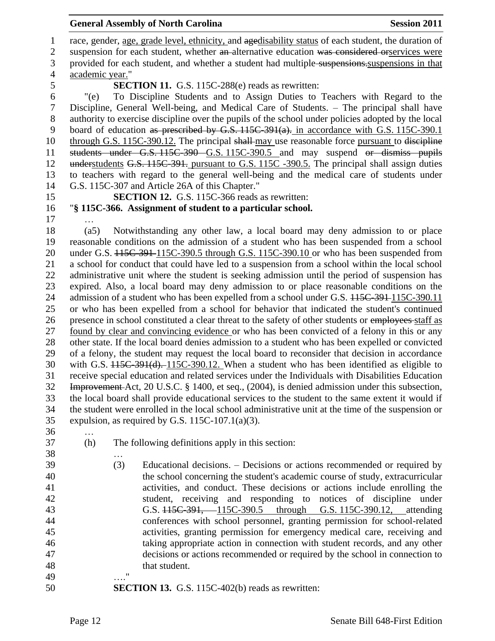1 race, gender, age, grade level, ethnicity, and agedisability status of each student, the duration of 2 suspension for each student, whether an alternative education was considered orservices were provided for each student, and whether a student had multiple suspensions.suspensions in that academic year." **SECTION 11.** G.S. 115C-288(e) reads as rewritten: "(e) To Discipline Students and to Assign Duties to Teachers with Regard to the Discipline, General Well-being, and Medical Care of Students. – The principal shall have authority to exercise discipline over the pupils of the school under policies adopted by the local board of education as prescribed by G.S. 115C-391(a). in accordance with G.S. 115C-390.1 10 through G.S. 115C-390.12. The principal shall-may use reasonable force pursuant to discipline students under G.S. 115C-390 G.S. 115C-390.5 and may suspend or dismiss pupils 12 understudents G.S. 115C-391. pursuant to G.S. 115C -390.5. The principal shall assign duties to teachers with regard to the general well-being and the medical care of students under G.S. 115C-307 and Article 26A of this Chapter." **SECTION 12.** G.S. 115C-366 reads as rewritten: "**§ 115C-366. Assignment of student to a particular school.** … (a5) Notwithstanding any other law, a local board may deny admission to or place reasonable conditions on the admission of a student who has been suspended from a school 20 under G.S.  $115C-391-115C-390.5$  through G.S. 115C-390.10 or who has been suspended from a school for conduct that could have led to a suspension from a school within the local school administrative unit where the student is seeking admission until the period of suspension has expired. Also, a local board may deny admission to or place reasonable conditions on the 24 admission of a student who has been expelled from a school under G.S.  $115C-391-115C-390.11$  or who has been expelled from a school for behavior that indicated the student's continued presence in school constituted a clear threat to the safety of other students or employees staff as found by clear and convincing evidence or who has been convicted of a felony in this or any other state. If the local board denies admission to a student who has been expelled or convicted of a felony, the student may request the local board to reconsider that decision in accordance with G.S. 115C-391(d). 115C-390.12. When a student who has been identified as eligible to receive special education and related services under the Individuals with Disabilities Education Improvement Act, 20 U.S.C. § 1400, et seq., (2004), is denied admission under this subsection, the local board shall provide educational services to the student to the same extent it would if the student were enrolled in the local school administrative unit at the time of the suspension or expulsion, as required by G.S. 115C-107.1(a)(3). … (h) The following definitions apply in this section: … (3) Educational decisions. – Decisions or actions recommended or required by the school concerning the student's academic course of study, extracurricular activities, and conduct. These decisions or actions include enrolling the student, receiving and responding to notices of discipline under G.S. 115C-391, 115C-390.5 through G.S. 115C-390.12, attending conferences with school personnel, granting permission for school-related activities, granting permission for emergency medical care, receiving and taking appropriate action in connection with student records, and any other decisions or actions recommended or required by the school in connection to 48 that student. …." **SECTION 13.** G.S. 115C-402(b) reads as rewritten: